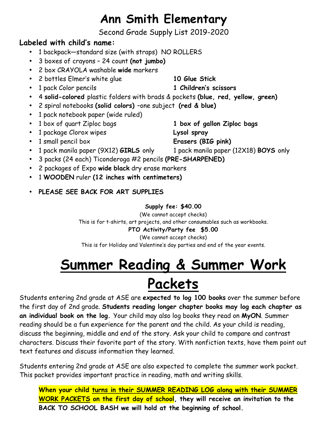## **Ann Smith Elementary**

Second Grade Supply List 2019-2020

### **Labeled with child's name:**

- 1 backpack—standard size (with straps) NO ROLLERS
- 3 boxes of crayons 24 count **(not jumbo)**
- 2 box CRAYOLA washable **wide** markers
- 2 bottles Elmer's white glue **10 Glue Stick**
- 1 pack Color pencils **1 Children's scissors**
- 4 **solid-colored** plastic folders with brads & pockets **(blue, red, yellow, green)**
- 2 spiral notebooks **(solid colors)** –one subject **(red & blue)**
- 1 pack notebook paper (wide ruled)
- 1 box of quart Ziploc bags **1 box of gallon Ziploc bags**
- 1 package Clorox wipes **Lysol spray**
- 1 small pencil box **Erasers (BIG pink)**
- 1 pack manila paper (9X12) **GIRLS** only 1 pack manila paper (12X18) **BOYS** only
- 3 packs (24 each) Ticonderoga #2 pencils **(PRE-SHARPENED)**
- 2 packages of Expo **wide black** dry erase markers
- 1 **WOODEN** ruler **(12 inches with centimeters)**
- **PLEASE SEE BACK FOR ART SUPPLIES**

#### **Supply fee: \$40.00**

(We cannot accept checks) This is for t-shirts, art projects, and other consumables such as workbooks.

### **PTO Activity/Party fee \$5.00**

(We cannot accept checks) This is for Holiday and Valentine's day parties and end of the year events.

# **Summer Reading & Summer Work Packets**

Students entering 2nd grade at ASE are **expected to log 100 books** over the summer before the first day of 2nd grade. **Students reading longer chapter books may log each chapter as an individual book on the log.** Your child may also log books they read on **MyON**. Summer reading should be a fun experience for the parent and the child. As your child is reading, discuss the beginning, middle and end of the story. Ask your child to compare and contrast characters. Discuss their favorite part of the story. With nonfiction texts, have them point out text features and discuss information they learned.

Students entering 2nd grade at ASE are also expected to complete the summer work packet. This packet provides important practice in reading, math and writing skills.

**When your child turns in their SUMMER READING LOG along with their SUMMER WORK PACKETS on the first day of school, they will receive an invitation to the BACK TO SCHOOL BASH we will hold at the beginning of school.**

- 
- 
- 
-